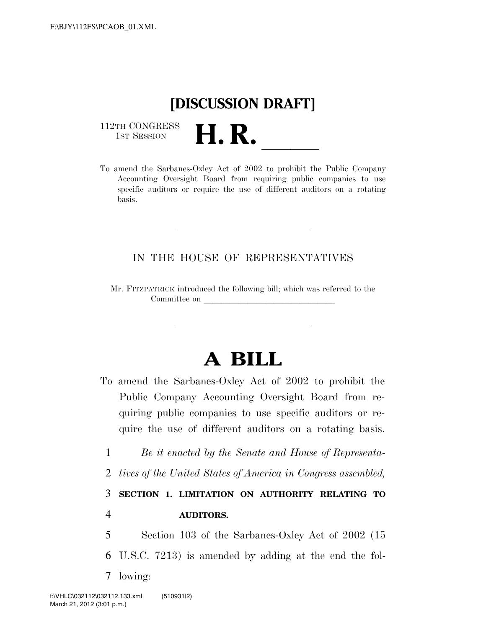## **[DISCUSSION DRAFT]**

112TH CONGRESS<br>1st Session

112TH CONGRESS<br>1st SESSION **H. R.** <u>International To amend the Sarbanes-Oxley Act of 2002</u> to prohibit the Public Company Accounting Oversight Board from requiring public companies to use specific auditors or require the use of different auditors on a rotating basis.

## IN THE HOUSE OF REPRESENTATIVES

Mr. FITZPATRICK introduced the following bill; which was referred to the Committee on

## **A BILL**

- To amend the Sarbanes-Oxley Act of 2002 to prohibit the Public Company Accounting Oversight Board from requiring public companies to use specific auditors or require the use of different auditors on a rotating basis.
	- 1 *Be it enacted by the Senate and House of Representa-*
	- 2 *tives of the United States of America in Congress assembled,*

3 **SECTION 1. LIMITATION ON AUTHORITY RELATING TO** 

## 4 **AUDITORS.**

5 Section 103 of the Sarbanes-Oxley Act of 2002 (15 6 U.S.C. 7213) is amended by adding at the end the fol-7 lowing: